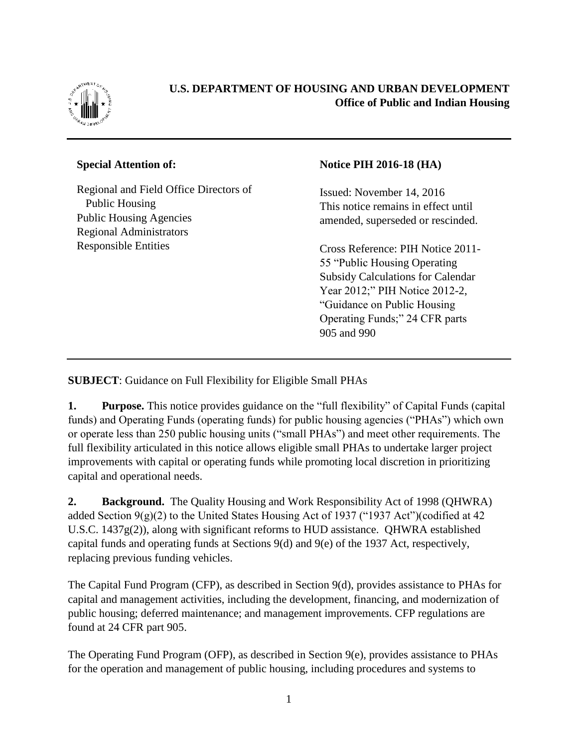

## **U.S. DEPARTMENT OF HOUSING AND URBAN DEVELOPMENT Office of Public and Indian Housing**

## **Special Attention of:**

Regional and Field Office Directors of Public Housing Public Housing Agencies Regional Administrators Responsible Entities

## **Notice PIH 2016-18 (HA)**

Issued: November 14, 2016 This notice remains in effect until amended, superseded or rescinded.

Cross Reference: PIH Notice 2011- 55 "Public Housing Operating Subsidy Calculations for Calendar Year 2012;" PIH Notice 2012-2, "Guidance on Public Housing Operating Funds;" 24 CFR parts 905 and 990

**SUBJECT**: Guidance on Full Flexibility for Eligible Small PHAs

**1. Purpose.** This notice provides guidance on the "full flexibility" of Capital Funds (capital funds) and Operating Funds (operating funds) for public housing agencies ("PHAs") which own or operate less than 250 public housing units ("small PHAs") and meet other requirements. The full flexibility articulated in this notice allows eligible small PHAs to undertake larger project improvements with capital or operating funds while promoting local discretion in prioritizing capital and operational needs.

**2. Background.** The Quality Housing and Work Responsibility Act of 1998 (QHWRA) added Section  $9(g)(2)$  to the United States Housing Act of 1937 ("1937 Act")(codified at 42 U.S.C. 1437g(2)), along with significant reforms to HUD assistance. QHWRA established capital funds and operating funds at Sections 9(d) and 9(e) of the 1937 Act, respectively, replacing previous funding vehicles.

The Capital Fund Program (CFP), as described in Section 9(d), provides assistance to PHAs for capital and management activities, including the development, financing, and modernization of public housing; deferred maintenance; and management improvements. CFP regulations are found at 24 CFR part 905.

The Operating Fund Program (OFP), as described in Section 9(e), provides assistance to PHAs for the operation and management of public housing, including procedures and systems to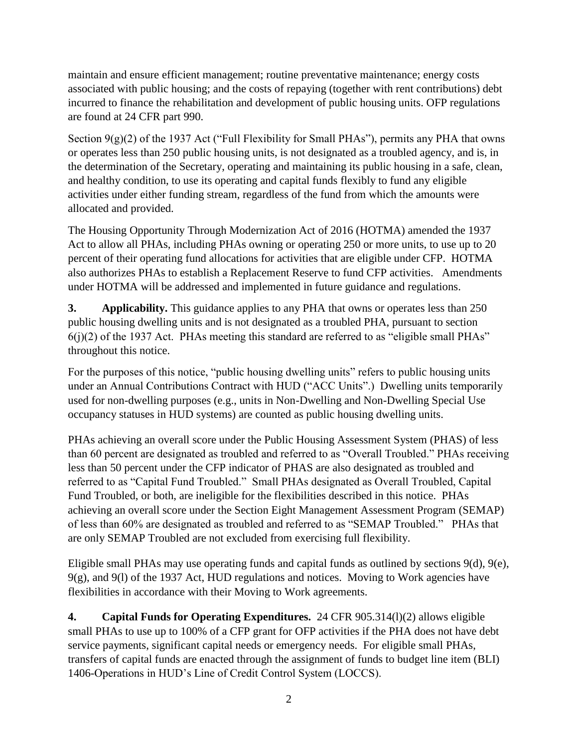maintain and ensure efficient management; routine preventative maintenance; energy costs associated with public housing; and the costs of repaying (together with rent contributions) debt incurred to finance the rehabilitation and development of public housing units. OFP regulations are found at 24 CFR part 990.

Section  $9(g)(2)$  of the 1937 Act ("Full Flexibility for Small PHAs"), permits any PHA that owns or operates less than 250 public housing units, is not designated as a troubled agency, and is, in the determination of the Secretary, operating and maintaining its public housing in a safe, clean, and healthy condition, to use its operating and capital funds flexibly to fund any eligible activities under either funding stream, regardless of the fund from which the amounts were allocated and provided.

The Housing Opportunity Through Modernization Act of 2016 (HOTMA) amended the 1937 Act to allow all PHAs, including PHAs owning or operating 250 or more units, to use up to 20 percent of their operating fund allocations for activities that are eligible under CFP. HOTMA also authorizes PHAs to establish a Replacement Reserve to fund CFP activities. Amendments under HOTMA will be addressed and implemented in future guidance and regulations.

**3. Applicability.** This guidance applies to any PHA that owns or operates less than 250 public housing dwelling units and is not designated as a troubled PHA, pursuant to section  $6(j)(2)$  of the 1937 Act. PHAs meeting this standard are referred to as "eligible small PHAs" throughout this notice.

For the purposes of this notice, "public housing dwelling units" refers to public housing units under an Annual Contributions Contract with HUD ("ACC Units".) Dwelling units temporarily used for non-dwelling purposes (e.g., units in Non-Dwelling and Non-Dwelling Special Use occupancy statuses in HUD systems) are counted as public housing dwelling units.

PHAs achieving an overall score under the Public Housing Assessment System (PHAS) of less than 60 percent are designated as troubled and referred to as "Overall Troubled." PHAs receiving less than 50 percent under the CFP indicator of PHAS are also designated as troubled and referred to as "Capital Fund Troubled." Small PHAs designated as Overall Troubled, Capital Fund Troubled, or both, are ineligible for the flexibilities described in this notice. PHAs achieving an overall score under the Section Eight Management Assessment Program (SEMAP) of less than 60% are designated as troubled and referred to as "SEMAP Troubled." PHAs that are only SEMAP Troubled are not excluded from exercising full flexibility.

Eligible small PHAs may use operating funds and capital funds as outlined by sections 9(d), 9(e),  $9(g)$ , and  $9(1)$  of the 1937 Act, HUD regulations and notices. Moving to Work agencies have flexibilities in accordance with their Moving to Work agreements.

**4. Capital Funds for Operating Expenditures.** 24 CFR 905.314(l)(2) allows eligible small PHAs to use up to 100% of a CFP grant for OFP activities if the PHA does not have debt service payments, significant capital needs or emergency needs. For eligible small PHAs, transfers of capital funds are enacted through the assignment of funds to budget line item (BLI) 1406-Operations in HUD's Line of Credit Control System (LOCCS).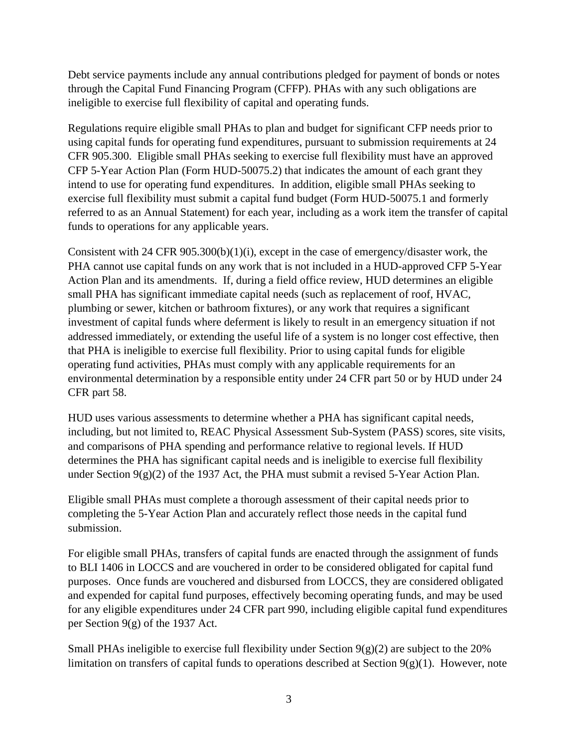Debt service payments include any annual contributions pledged for payment of bonds or notes through the Capital Fund Financing Program (CFFP). PHAs with any such obligations are ineligible to exercise full flexibility of capital and operating funds.

Regulations require eligible small PHAs to plan and budget for significant CFP needs prior to using capital funds for operating fund expenditures, pursuant to submission requirements at 24 CFR 905.300. Eligible small PHAs seeking to exercise full flexibility must have an approved CFP 5-Year Action Plan (Form HUD-50075.2) that indicates the amount of each grant they intend to use for operating fund expenditures. In addition, eligible small PHAs seeking to exercise full flexibility must submit a capital fund budget (Form HUD-50075.1 and formerly referred to as an Annual Statement) for each year, including as a work item the transfer of capital funds to operations for any applicable years.

Consistent with 24 CFR 905.300(b)(1)(i), except in the case of emergency/disaster work, the PHA cannot use capital funds on any work that is not included in a HUD-approved CFP 5-Year Action Plan and its amendments. If, during a field office review, HUD determines an eligible small PHA has significant immediate capital needs (such as replacement of roof, HVAC, plumbing or sewer, kitchen or bathroom fixtures), or any work that requires a significant investment of capital funds where deferment is likely to result in an emergency situation if not addressed immediately, or extending the useful life of a system is no longer cost effective, then that PHA is ineligible to exercise full flexibility. Prior to using capital funds for eligible operating fund activities, PHAs must comply with any applicable requirements for an environmental determination by a responsible entity under 24 CFR part 50 or by HUD under 24 CFR part 58.

HUD uses various assessments to determine whether a PHA has significant capital needs, including, but not limited to, REAC Physical Assessment Sub-System (PASS) scores, site visits, and comparisons of PHA spending and performance relative to regional levels. If HUD determines the PHA has significant capital needs and is ineligible to exercise full flexibility under Section 9(g)(2) of the 1937 Act, the PHA must submit a revised 5-Year Action Plan.

Eligible small PHAs must complete a thorough assessment of their capital needs prior to completing the 5-Year Action Plan and accurately reflect those needs in the capital fund submission.

For eligible small PHAs, transfers of capital funds are enacted through the assignment of funds to BLI 1406 in LOCCS and are vouchered in order to be considered obligated for capital fund purposes. Once funds are vouchered and disbursed from LOCCS, they are considered obligated and expended for capital fund purposes, effectively becoming operating funds, and may be used for any eligible expenditures under 24 CFR part 990, including eligible capital fund expenditures per Section 9(g) of the 1937 Act.

Small PHAs ineligible to exercise full flexibility under Section  $9(g)(2)$  are subject to the 20% limitation on transfers of capital funds to operations described at Section  $9(g)(1)$ . However, note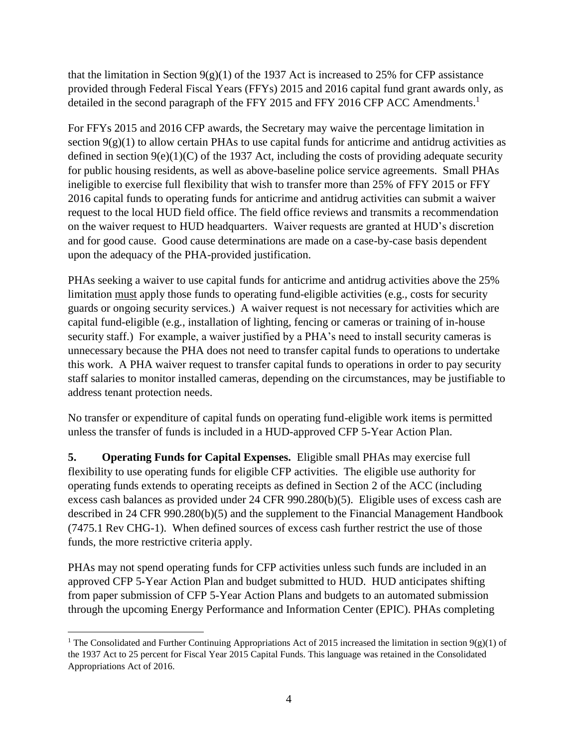that the limitation in Section  $9(g)(1)$  of the 1937 Act is increased to 25% for CFP assistance provided through Federal Fiscal Years (FFYs) 2015 and 2016 capital fund grant awards only, as detailed in the second paragraph of the FFY 2015 and FFY 2016 CFP ACC Amendments.<sup>1</sup>

For FFYs 2015 and 2016 CFP awards, the Secretary may waive the percentage limitation in section  $9(g)(1)$  to allow certain PHAs to use capital funds for anticrime and antidrug activities as defined in section  $9(e)(1)(C)$  of the 1937 Act, including the costs of providing adequate security for public housing residents, as well as above-baseline police service agreements. Small PHAs ineligible to exercise full flexibility that wish to transfer more than 25% of FFY 2015 or FFY 2016 capital funds to operating funds for anticrime and antidrug activities can submit a waiver request to the local HUD field office. The field office reviews and transmits a recommendation on the waiver request to HUD headquarters. Waiver requests are granted at HUD's discretion and for good cause. Good cause determinations are made on a case-by-case basis dependent upon the adequacy of the PHA-provided justification.

PHAs seeking a waiver to use capital funds for anticrime and antidrug activities above the 25% limitation must apply those funds to operating fund-eligible activities (e.g., costs for security guards or ongoing security services.) A waiver request is not necessary for activities which are capital fund-eligible (e.g., installation of lighting, fencing or cameras or training of in-house security staff.) For example, a waiver justified by a PHA's need to install security cameras is unnecessary because the PHA does not need to transfer capital funds to operations to undertake this work. A PHA waiver request to transfer capital funds to operations in order to pay security staff salaries to monitor installed cameras, depending on the circumstances, may be justifiable to address tenant protection needs.

No transfer or expenditure of capital funds on operating fund-eligible work items is permitted unless the transfer of funds is included in a HUD-approved CFP 5-Year Action Plan.

**5. Operating Funds for Capital Expenses.** Eligible small PHAs may exercise full flexibility to use operating funds for eligible CFP activities. The eligible use authority for operating funds extends to operating receipts as defined in Section 2 of the ACC (including excess cash balances as provided under 24 CFR 990.280(b)(5). Eligible uses of excess cash are described in 24 CFR 990.280(b)(5) and the supplement to the Financial Management Handbook (7475.1 Rev CHG-1). When defined sources of excess cash further restrict the use of those funds, the more restrictive criteria apply.

PHAs may not spend operating funds for CFP activities unless such funds are included in an approved CFP 5-Year Action Plan and budget submitted to HUD. HUD anticipates shifting from paper submission of CFP 5-Year Action Plans and budgets to an automated submission through the upcoming Energy Performance and Information Center (EPIC). PHAs completing

 $\overline{a}$ 

<sup>&</sup>lt;sup>1</sup> The Consolidated and Further Continuing Appropriations Act of 2015 increased the limitation in section 9(g)(1) of the 1937 Act to 25 percent for Fiscal Year 2015 Capital Funds. This language was retained in the Consolidated Appropriations Act of 2016.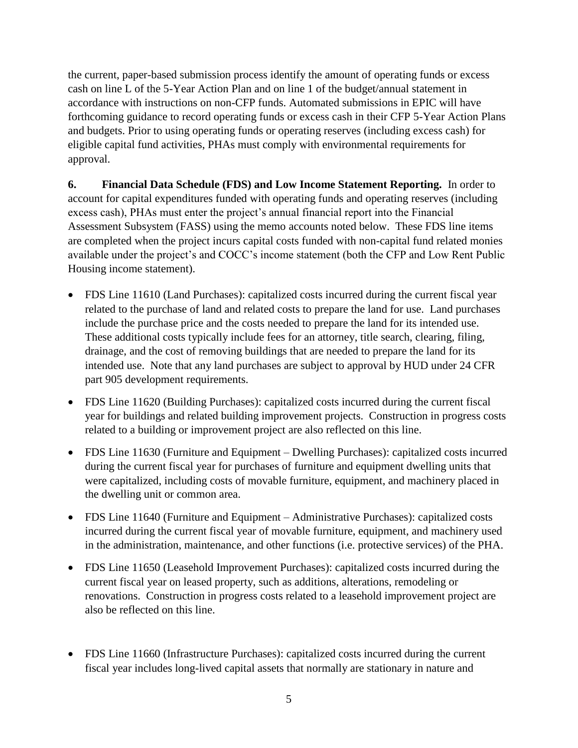the current, paper-based submission process identify the amount of operating funds or excess cash on line L of the 5-Year Action Plan and on line 1 of the budget/annual statement in accordance with instructions on non-CFP funds. Automated submissions in EPIC will have forthcoming guidance to record operating funds or excess cash in their CFP 5-Year Action Plans and budgets. Prior to using operating funds or operating reserves (including excess cash) for eligible capital fund activities, PHAs must comply with environmental requirements for approval.

**6. Financial Data Schedule (FDS) and Low Income Statement Reporting.** In order to account for capital expenditures funded with operating funds and operating reserves (including excess cash), PHAs must enter the project's annual financial report into the Financial Assessment Subsystem (FASS) using the memo accounts noted below. These FDS line items are completed when the project incurs capital costs funded with non-capital fund related monies available under the project's and COCC's income statement (both the CFP and Low Rent Public Housing income statement).

- FDS Line 11610 (Land Purchases): capitalized costs incurred during the current fiscal year related to the purchase of land and related costs to prepare the land for use. Land purchases include the purchase price and the costs needed to prepare the land for its intended use. These additional costs typically include fees for an attorney, title search, clearing, filing, drainage, and the cost of removing buildings that are needed to prepare the land for its intended use. Note that any land purchases are subject to approval by HUD under 24 CFR part 905 development requirements.
- FDS Line 11620 (Building Purchases): capitalized costs incurred during the current fiscal year for buildings and related building improvement projects. Construction in progress costs related to a building or improvement project are also reflected on this line.
- FDS Line 11630 (Furniture and Equipment Dwelling Purchases): capitalized costs incurred during the current fiscal year for purchases of furniture and equipment dwelling units that were capitalized, including costs of movable furniture, equipment, and machinery placed in the dwelling unit or common area.
- FDS Line 11640 (Furniture and Equipment Administrative Purchases): capitalized costs incurred during the current fiscal year of movable furniture, equipment, and machinery used in the administration, maintenance, and other functions (i.e. protective services) of the PHA.
- FDS Line 11650 (Leasehold Improvement Purchases): capitalized costs incurred during the current fiscal year on leased property, such as additions, alterations, remodeling or renovations. Construction in progress costs related to a leasehold improvement project are also be reflected on this line.
- FDS Line 11660 (Infrastructure Purchases): capitalized costs incurred during the current fiscal year includes long-lived capital assets that normally are stationary in nature and